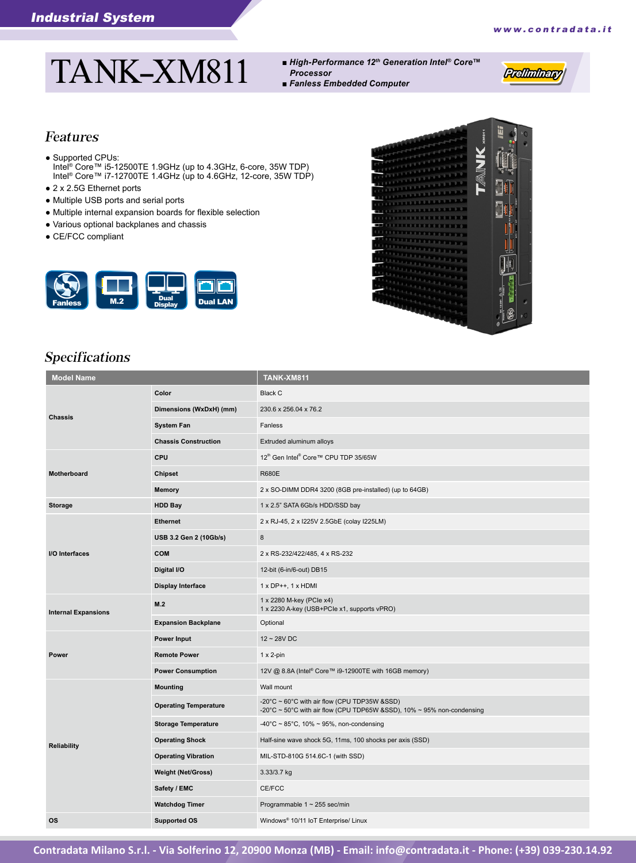Preliminary

# TANK-XM811

- *High-Performance 12th Generation Intel® Core™ Processor*
- *Fanless Embedded Computer*

#### Features

- Supported CPUs: Intel® Core™ i5-12500TE 1.9GHz (up to 4.3GHz, 6-core, 35W TDP) Intel® Core™ i7-12700TE 1.4GHz (up to 4.6GHz, 12-core, 35W TDP)
- 2 x 2.5G Ethernet ports
- Multiple USB ports and serial ports
- Multiple internal expansion boards for flexible selection
- Various optional backplanes and chassis
- CE/FCC compliant





# Specifications

| <b>Model Name</b>          |                              | <b>TANK-XM811</b>                                                                                                      |
|----------------------------|------------------------------|------------------------------------------------------------------------------------------------------------------------|
| <b>Chassis</b>             | Color                        | <b>Black C</b>                                                                                                         |
|                            | Dimensions (WxDxH) (mm)      | 230.6 x 256.04 x 76.2                                                                                                  |
|                            | <b>System Fan</b>            | Fanless                                                                                                                |
|                            | <b>Chassis Construction</b>  | Extruded aluminum alloys                                                                                               |
|                            | <b>CPU</b>                   | 12 <sup>th</sup> Gen Intel <sup>®</sup> Core™ CPU TDP 35/65W                                                           |
| Motherboard                | <b>Chipset</b>               | <b>R680E</b>                                                                                                           |
|                            | <b>Memory</b>                | 2 x SO-DIMM DDR4 3200 (8GB pre-installed) (up to 64GB)                                                                 |
| <b>Storage</b>             | <b>HDD Bay</b>               | 1 x 2.5" SATA 6Gb/s HDD/SSD bay                                                                                        |
|                            | <b>Ethernet</b>              | 2 x RJ-45, 2 x I225V 2.5GbE (colay I225LM)                                                                             |
|                            | USB 3.2 Gen 2 (10Gb/s)       | 8                                                                                                                      |
| I/O Interfaces             | <b>COM</b>                   | 2 x RS-232/422/485, 4 x RS-232                                                                                         |
|                            | Digital I/O                  | 12-bit (6-in/6-out) DB15                                                                                               |
|                            | <b>Display Interface</b>     | $1 \times DP++$ , $1 \times HDMI$                                                                                      |
| <b>Internal Expansions</b> | M.2                          | 1 x 2280 M-key (PCle x4)<br>1 x 2230 A-key (USB+PCle x1, supports vPRO)                                                |
|                            | <b>Expansion Backplane</b>   | Optional                                                                                                               |
|                            | <b>Power Input</b>           | $12 - 28V$ DC                                                                                                          |
| Power                      | <b>Remote Power</b>          | $1 \times 2$ -pin                                                                                                      |
|                            | <b>Power Consumption</b>     | 12V @ 8.8A (Intel® Core™ i9-12900TE with 16GB memory)                                                                  |
|                            | <b>Mounting</b>              | Wall mount                                                                                                             |
| <b>Reliability</b>         | <b>Operating Temperature</b> | -20°C ~ 60°C with air flow (CPU TDP35W &SSD)<br>-20°C ~ 50°C with air flow (CPU TDP65W &SSD), 10% ~ 95% non-condensing |
|                            | <b>Storage Temperature</b>   | $-40^{\circ}$ C ~ 85°C, 10% ~ 95%, non-condensing                                                                      |
|                            | <b>Operating Shock</b>       | Half-sine wave shock 5G, 11ms, 100 shocks per axis (SSD)                                                               |
|                            | <b>Operating Vibration</b>   | MIL-STD-810G 514.6C-1 (with SSD)                                                                                       |
|                            | <b>Weight (Net/Gross)</b>    | 3.33/3.7 kg                                                                                                            |
|                            | Safety / EMC                 | CE/FCC                                                                                                                 |
|                            | <b>Watchdog Timer</b>        | Programmable 1 ~ 255 sec/min                                                                                           |
| <b>OS</b>                  | <b>Supported OS</b>          | Windows <sup>®</sup> 10/11 IoT Enterprise/ Linux                                                                       |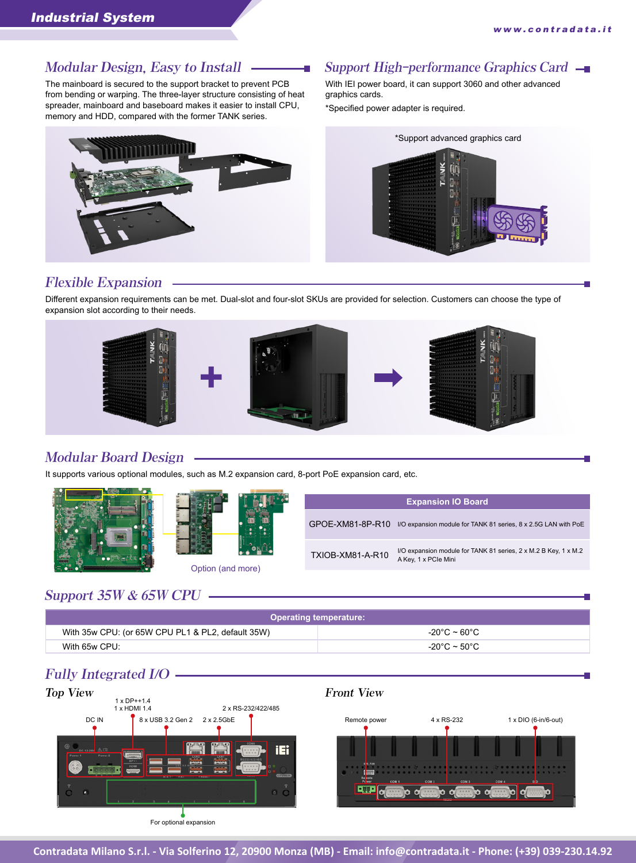The mainboard is secured to the support bracket to prevent PCB from bending or warping. The three-layer structure consisting of heat spreader, mainboard and baseboard makes it easier to install CPU, memory and HDD, compared with the former TANK series.



#### Modular Design, Easy to Install  $\longrightarrow$  Support High-performance Graphics Card  $\longrightarrow$

With IEI power board, it can support 3060 and other advanced graphics cards.

\*Specified power adapter is required.



#### Flexible Expansion

Different expansion requirements can be met. Dual-slot and four-slot SKUs are provided for selection. Customers can choose the type of expansion slot according to their needs.



#### Modular Board Design

It supports various optional modules, such as M.2 expansion card, 8-port PoE expansion card, etc.





Option (and more)

| <b>Expansion IO Board</b> |                                                                                         |  |
|---------------------------|-----------------------------------------------------------------------------------------|--|
| GPOE-XM81-8P-R10          | I/O expansion module for TANK 81 series, 8 x 2.5G LAN with PoE                          |  |
| TXIOB-XM81-A-R10          | I/O expansion module for TANK 81 series, 2 x M.2 B Key, 1 x M.2<br>A Key, 1 x PCle Mini |  |

### Support 35W & 65W CPU

| <b>Operating temperature:</b>                     |              |  |  |
|---------------------------------------------------|--------------|--|--|
| With 35w CPU: (or 65W CPU PL1 & PL2, default 35W) | -20°C ~ 60°C |  |  |
| With 65w CPU:                                     | -20°C ~ 50°C |  |  |

#### Fully Integrated I/O



**Contradata Milano S.r.l. - Via Solferino 12, 20900 Monza (MB) - Email: [info@contradata.it - P](mailto:info@contradata.it)hone: (+39) 039-230.14.92**